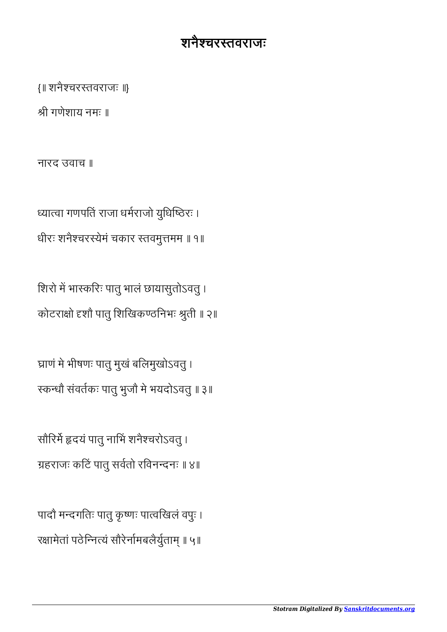पादौ मन्दगतिः पातु कृष्णः पात्वखिलं वपुः । रक्षामेतां पठेन्नित्यं सौरेर्नामबलैर्युताम् ॥ ५॥

सौरिर्मे हृदयं पातु नाभिं शनैश्चरोऽवतु । ग्रहराजः कटिं पातु सर्वतो रविनन्दनः ॥ ४॥

ाणं मे भीषणः पातु मुखं बिलमुखोऽवतु । कधौ संवतकः पातु भुजौ मे भयदोऽवतु ॥ ३॥

शिरो में भास्करिः पातु भालं छायासुतोऽवतु । कोटराक्षो दृशो पातु शिखिकण्ठनिभः श्रुती ॥ २॥

धीरः शनैश्चरस्येमं चकार स्तवमुत्तमम ॥ १॥

ध्यात्वा गणपतिं राजा धर्मराजो युधिष्ठिरः ।

नारद उवाच ॥

ी गणेशाय नमः ॥

{॥ शनैचरतवराजः ॥}

## शनैचरतवराजः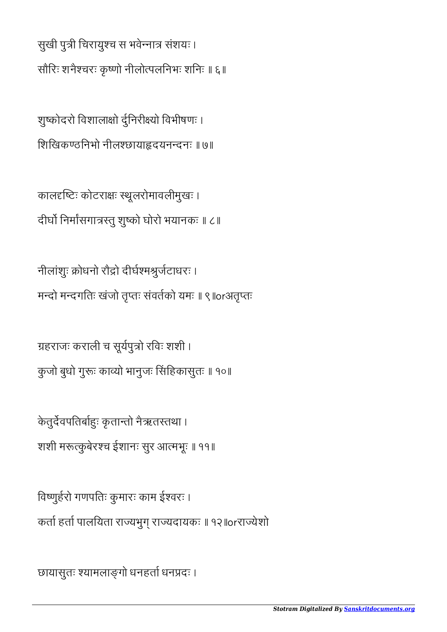छायासुतः श्यामलाङ्गो धनहर्ता धनप्रदः ।

विष्णुर्हरो गणपतिः कुमारः काम ईश्वरः । कर्ता हर्ता पालयिता राज्यभुग राज्यदायकः ॥ १२॥orराज्येशो

केतुर्देवपतिर्बाहुः कृतान्तो नैऋतस्तथा । शशी मरूत्कुबेरश्च ईशानः सुर आत्मभूः ॥ ११॥

ग्रहराजः कराली च सूर्यपुत्रो रविः शशी । कुजो बुधो गुरूः काव्यो भानुजः सिंहिकासुतः ॥ १०॥

नीलांशुः क्रोधनो रौद्रो दीर्घश्मश्रुर्जटाधरः । मदो मदगितः खंजो तृतः संवतको यमः ॥ ९॥orअतृतः

कालदृष्टिः कोटराक्षः स्थूलरोमावलीमुखः । दीर्घो निर्मांसगात्रस्तु शुष्को घोरो भयानकः ॥ ८॥

शुष्कोदरो विशालाक्षो र्दुनिरीक्ष्यो विभीषणः । शिखिकण्ठनिभो नीलश्छायाहृदयनन्दनः ॥ ७॥

सुखी पुत्री चिरायुश्च स भवेन्नात्र संशयः । सौरिः शनैश्चरः कृष्णो नीलोत्पलनिभः शनिः ॥ ६॥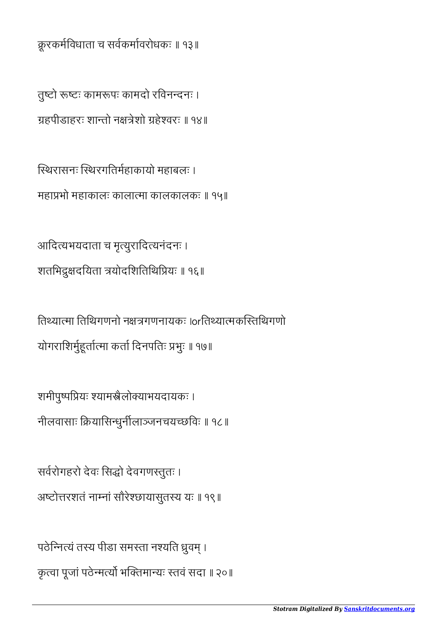ू रकमिवधाता च सवकमवरोधकः ॥ १३॥

तुष्टो रूष्टः कामरूपः कामदो रविनन्दनः । ग्रहपीडाहरः शान्तो नक्षत्रेशो ग्रहेश्वरः ॥ १४॥

थरासनः थरगितमहाकायो महाबलः । महाभो महाकालः कालामा कालकालकः ॥ १५॥

आिदयभयदाता च मृयुरािदयनंदनः । शतिभुदियता योदिशितिथियः ॥ १६॥

ितयामा ितिथगणनो नगणनायकः ।orितयामकतिथगणो योगराशिर्मुहूर्तात्मा कर्ता दिनपतिः प्रभुः ॥ १७॥

शमीपुपियः यामैलोयाभयदायकः । नीलवासाः क्रियासिन्धुर्नीलाञ्जनचयच्छविः ॥ १८॥

सर्वरोगहरो देवः सिद्धो देवगणस्तुतः । अष्टोत्तरशतं नाम्नां सौरेश्छायासुतस्य यः ॥ १९॥

पठेन्नित्यं तस्य पीडा समस्ता नश्यति ध्रुवम् । कृत्वा पूजां पठेन्मर्त्यो भक्तिमान्यः स्तवं सदा ॥ २०॥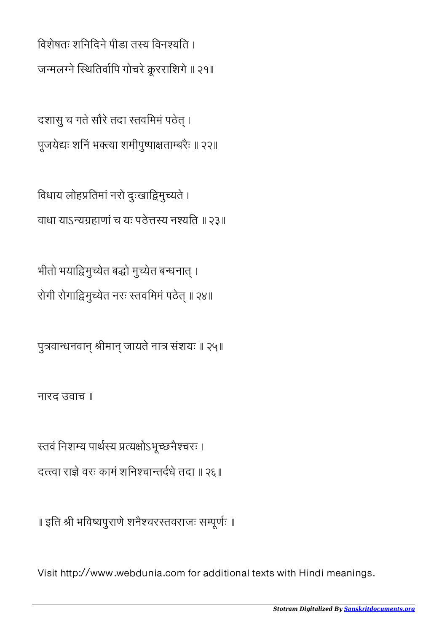विशेषतः शनिदिने पीडा तस्य विनश्यति । जन्मलग्ने स्थितिर्वापि गोचरे क्रूरराशिगे ॥ २१॥

दशासु च गते सौरे तदा स्तवमिमं पठेत् । पूजयेद्यः शनिं भक्त्या शमीपुष्पाक्षताम्बरैः ॥ २२॥

विधाय लोहप्रतिमां नरो दुःखाद्विमुच्यते । वाधा याऽन्यग्रहाणां च यः पठेत्तस्य नश्यति ॥ २३॥

भीतो भयाद्विमुच्येत बद्धो मुच्येत बन्धनात् । रोगी रोगािमुयेत नरः तविममं पठे ॥ २४॥

पुत्रवान्धनवान् श्रीमान् जायते नात्र संशयः ॥ २५॥

नारद उवाच ॥

रतवं निशम्य पार्थस्य प्रत्यक्षोऽभूच्छनैश्चरः । दत्त्वा राज्ञे वरः कामं शनिश्चान्तर्दधे तदा ॥ २६॥

॥ इति श्री भविष्यपुराणे शनैश्चरस्तवराजः सम्पूर्णः ॥

Visit http://www.webdunia.com for additional texts with Hindi meanings.